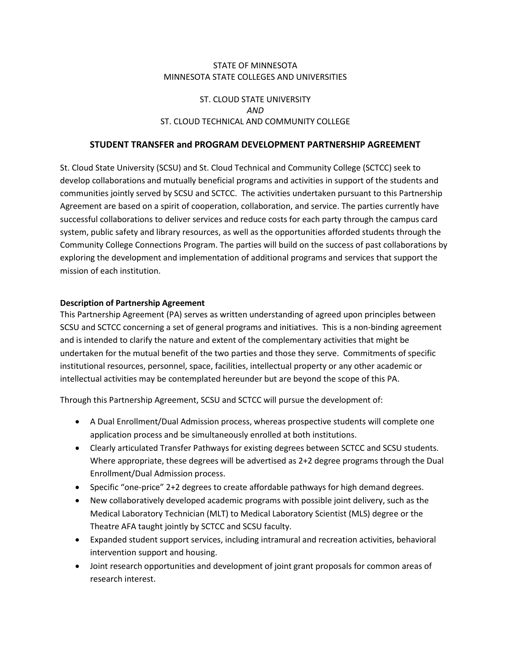#### STATE OF MINNESOTA MINNESOTA STATE COLLEGES AND UNIVERSITIES

### ST. CLOUD STATE UNIVERSITY *AND* ST. CLOUD TECHNICAL AND COMMUNITY COLLEGE

#### **STUDENT TRANSFER and PROGRAM DEVELOPMENT PARTNERSHIP AGREEMENT**

St. Cloud State University (SCSU) and St. Cloud Technical and Community College (SCTCC) seek to develop collaborations and mutually beneficial programs and activities in support of the students and communities jointly served by SCSU and SCTCC. The activities undertaken pursuant to this Partnership Agreement are based on a spirit of cooperation, collaboration, and service. The parties currently have successful collaborations to deliver services and reduce costs for each party through the campus card system, public safety and library resources, as well as the opportunities afforded students through the Community College Connections Program. The parties will build on the success of past collaborations by exploring the development and implementation of additional programs and services that support the mission of each institution.

#### **Description of Partnership Agreement**

This Partnership Agreement (PA) serves as written understanding of agreed upon principles between SCSU and SCTCC concerning a set of general programs and initiatives. This is a non-binding agreement and is intended to clarify the nature and extent of the complementary activities that might be undertaken for the mutual benefit of the two parties and those they serve. Commitments of specific institutional resources, personnel, space, facilities, intellectual property or any other academic or intellectual activities may be contemplated hereunder but are beyond the scope of this PA.

Through this Partnership Agreement, SCSU and SCTCC will pursue the development of:

- A Dual Enrollment/Dual Admission process, whereas prospective students will complete one application process and be simultaneously enrolled at both institutions.
- Clearly articulated Transfer Pathways for existing degrees between SCTCC and SCSU students. Where appropriate, these degrees will be advertised as 2+2 degree programs through the Dual Enrollment/Dual Admission process.
- Specific "one-price" 2+2 degrees to create affordable pathways for high demand degrees.
- New collaboratively developed academic programs with possible joint delivery, such as the Medical Laboratory Technician (MLT) to Medical Laboratory Scientist (MLS) degree or the Theatre AFA taught jointly by SCTCC and SCSU faculty.
- Expanded student support services, including intramural and recreation activities, behavioral intervention support and housing.
- Joint research opportunities and development of joint grant proposals for common areas of research interest.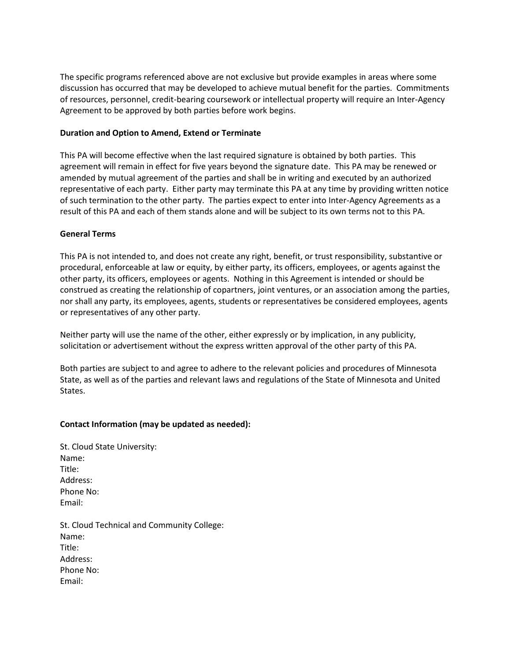The specific programs referenced above are not exclusive but provide examples in areas where some discussion has occurred that may be developed to achieve mutual benefit for the parties. Commitments of resources, personnel, credit-bearing coursework or intellectual property will require an Inter-Agency Agreement to be approved by both parties before work begins.

#### **Duration and Option to Amend, Extend or Terminate**

This PA will become effective when the last required signature is obtained by both parties. This agreement will remain in effect for five years beyond the signature date. This PA may be renewed or amended by mutual agreement of the parties and shall be in writing and executed by an authorized representative of each party. Either party may terminate this PA at any time by providing written notice of such termination to the other party. The parties expect to enter into Inter-Agency Agreements as a result of this PA and each of them stands alone and will be subject to its own terms not to this PA.

#### **General Terms**

This PA is not intended to, and does not create any right, benefit, or trust responsibility, substantive or procedural, enforceable at law or equity, by either party, its officers, employees, or agents against the other party, its officers, employees or agents. Nothing in this Agreement is intended or should be construed as creating the relationship of copartners, joint ventures, or an association among the parties, nor shall any party, its employees, agents, students or representatives be considered employees, agents or representatives of any other party.

Neither party will use the name of the other, either expressly or by implication, in any publicity, solicitation or advertisement without the express written approval of the other party of this PA.

Both parties are subject to and agree to adhere to the relevant policies and procedures of Minnesota State, as well as of the parties and relevant laws and regulations of the State of Minnesota and United States.

#### **Contact Information (may be updated as needed):**

| St. Cloud State University: |  |
|-----------------------------|--|
| Name:                       |  |
| Title:                      |  |
| Address:                    |  |
| Phone No:                   |  |
| Email:                      |  |
|                             |  |

St. Cloud Technical and Community College: Name: Title: Address: Phone No: Email: